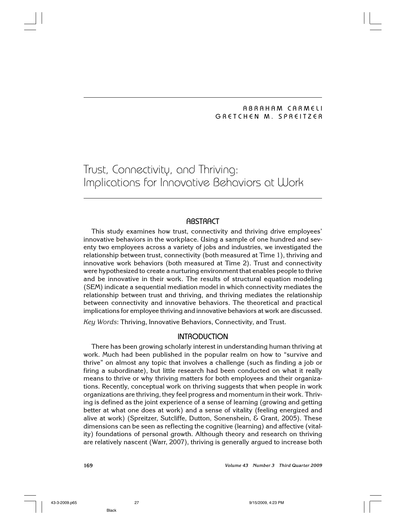# ABRAHAM CARMELI GRETCHEN M. SPREITZER

Trust, Connectivity, and Thriving: Implications for Innovative Behaviors at Work

# ABSTRACT

This study examines how trust, connectivity and thriving drive employees' innovative behaviors in the workplace. Using a sample of one hundred and seventy two employees across a variety of jobs and industries, we investigated the relationship between trust, connectivity (both measured at Time 1), thriving and innovative work behaviors (both measured at Time 2). Trust and connectivity were hypothesized to create a nurturing environment that enables people to thrive and be innovative in their work. The results of structural equation modeling (SEM) indicate a sequential mediation model in which connectivity mediates the relationship between trust and thriving, and thriving mediates the relationship between connectivity and innovative behaviors. The theoretical and practical implications for employee thriving and innovative behaviors at work are discussed.

*Key Words*: Thriving, Innovative Behaviors, Connectivity, and Trust.

# INTRODUCTION

There has been growing scholarly interest in understanding human thriving at work. Much had been published in the popular realm on how to "survive and thrive" on almost any topic that involves a challenge (such as finding a job or firing a subordinate), but little research had been conducted on what it really means to thrive or why thriving matters for both employees and their organizations. Recently, conceptual work on thriving suggests that when people in work organizations are thriving, they feel progress and momentum in their work. Thriving is defined as the joint experience of a sense of learning (growing and getting better at what one does at work) and a sense of vitality (feeling energized and alive at work) (Spreitzer, Sutcliffe, Dutton, Sonenshein, & Grant, 2005). These dimensions can be seen as reflecting the cognitive (learning) and affective (vitality) foundations of personal growth. Although theory and research on thriving are relatively nascent (Warr, 2007), thriving is generally argued to increase both

*Volume 43 Number 3 Third Quarter 2009*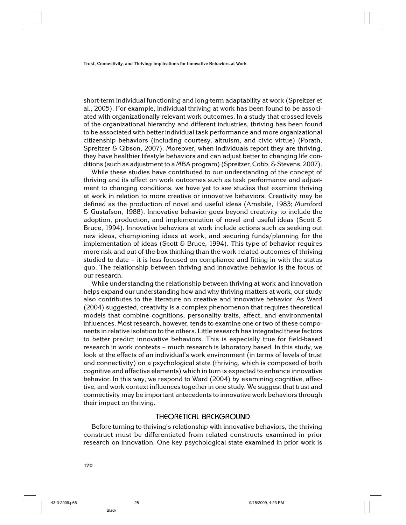short-term individual functioning and long-term adaptability at work (Spreitzer et al., 2005). For example, individual thriving at work has been found to be associated with organizationally relevant work outcomes. In a study that crossed levels of the organizational hierarchy and different industries, thriving has been found to be associated with better individual task performance and more organizational citizenship behaviors (including courtesy, altruism, and civic virtue) (Porath, Spreitzer & Gibson, 2007). Moreover, when individuals report they are thriving, they have healthier lifestyle behaviors and can adjust better to changing life conditions (such as adjustment to a MBA program) (Spreitzer, Cobb, & Stevens, 2007).

While these studies have contributed to our understanding of the concept of thriving and its effect on work outcomes such as task performance and adjustment to changing conditions, we have yet to see studies that examine thriving at work in relation to more creative or innovative behaviors. Creativity may be defined as the production of novel and useful ideas (Amabile, 1983; Mumford & Gustafson, 1988). Innovative behavior goes beyond creativity to include the adoption, production, and implementation of novel and useful ideas (Scott & Bruce, 1994). Innovative behaviors at work include actions such as seeking out new ideas, championing ideas at work, and securing funds/planning for the implementation of ideas (Scott & Bruce, 1994). This type of behavior requires more risk and out-of-the-box thinking than the work related outcomes of thriving studied to date – it is less focused on compliance and fitting in with the status quo. The relationship between thriving and innovative behavior is the focus of our research.

While understanding the relationship between thriving at work and innovation helps expand our understanding how and why thriving matters at work, our study also contributes to the literature on creative and innovative behavior. As Ward (2004) suggested, creativity is a complex phenomenon that requires theoretical models that combine cognitions, personality traits, affect, and environmental influences. Most research, however, tends to examine one or two of these components in relative isolation to the others. Little research has integrated these factors to better predict innovative behaviors. This is especially true for field-based research in work contexts – much research is laboratory based. In this study, we look at the effects of an individual's work environment (in terms of levels of trust and connectivity) on a psychological state (thriving, which is composed of both cognitive and affective elements) which in turn is expected to enhance innovative behavior. In this way, we respond to Ward (2004) by examining cognitive, affective, and work context influences together in one study. We suggest that trust and connectivity may be important antecedents to innovative work behaviors through their impact on thriving.

# THEORETICAL BACKGROUND

Before turning to thriving's relationship with innovative behaviors, the thriving construct must be differentiated from related constructs examined in prior research on innovation. One key psychological state examined in prior work is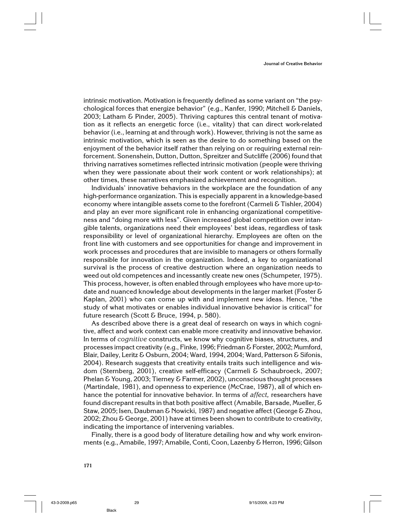intrinsic motivation. Motivation is frequently defined as some variant on "the psychological forces that energize behavior" (e.g., Kanfer, 1990; Mitchell & Daniels, 2003; Latham & Pinder, 2005). Thriving captures this central tenant of motivation as it reflects an energetic force (i.e., vitality) that can direct work-related behavior (i.e., learning at and through work). However, thriving is not the same as intrinsic motivation, which is seen as the desire to do something based on the enjoyment of the behavior itself rather than relying on or requiring external reinforcement. Sonenshein, Dutton, Dutton, Spreitzer and Sutcliffe (2006) found that thriving narratives sometimes reflected intrinsic motivation (people were thriving when they were passionate about their work content or work relationships); at other times, these narratives emphasized achievement and recognition.

Individuals' innovative behaviors in the workplace are the foundation of any high-performance organization. This is especially apparent in a knowledge-based economy where intangible assets come to the forefront (Carmeli & Tishler, 2004) and play an ever more significant role in enhancing organizational competitiveness and "doing more with less". Given increased global competition over intangible talents, organizations need their employees' best ideas, regardless of task responsibility or level of organizational hierarchy. Employees are often on the front line with customers and see opportunities for change and improvement in work processes and procedures that are invisible to managers or others formally responsible for innovation in the organization. Indeed, a key to organizational survival is the process of creative destruction where an organization needs to weed out old competences and incessantly create new ones (Schumpeter, 1975). This process, however, is often enabled through employees who have more up-todate and nuanced knowledge about developments in the larger market (Foster & Kaplan, 2001) who can come up with and implement new ideas. Hence, "the study of what motivates or enables individual innovative behavior is critical" for future research (Scott & Bruce, 1994, p. 580).

As described above there is a great deal of research on ways in which cognitive, affect and work context can enable more creativity and innovative behavior. In terms of *cognitive* constructs, we know why cognitive biases, structures, and processes impact creativity (e.g., Finke, 1996; Friedman & Forster, 2002; Mumford, Blair, Dailey, Leritz & Osburn, 2004; Ward, 1994, 2004; Ward, Patterson & Sifonis, 2004). Research suggests that creativity entails traits such intelligence and wisdom (Sternberg, 2001), creative self-efficacy (Carmeli & Schaubroeck, 2007; Phelan & Young, 2003; Tierney & Farmer, 2002), unconscious thought processes (Martindale, 1981), and openness to experience (McCrae, 1987), all of which enhance the potential for innovative behavior. In terms of *affect,* researchers have found discrepant results in that both positive affect (Amabile, Barsade, Mueller, & Staw, 2005; Isen, Daubman & Nowicki, 1987) and negative affect (George & Zhou, 2002; Zhou & George, 2001) have at times been shown to contribute to creativity, indicating the importance of intervening variables.

Finally, there is a good body of literature detailing how and why work environments (e.g., Amabile, 1997; Amabile, Conti, Coon, Lazenby & Herron, 1996; Gilson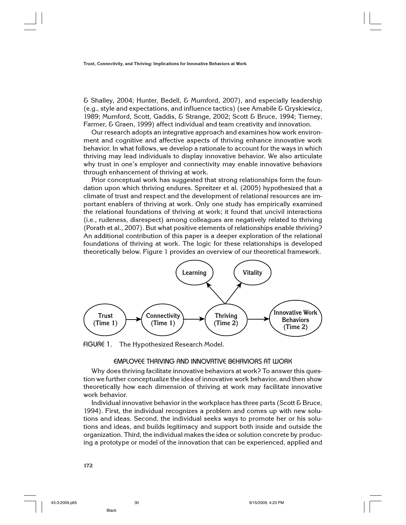& Shalley, 2004; Hunter, Bedell, & Mumford, 2007), and especially leadership (e.g., style and expectations, and influence tactics) (see Amabile & Gryskiewicz, 1989; Mumford, Scott, Gaddis, & Strange, 2002; Scott & Bruce, 1994; Tierney, Farmer, & Graen, 1999) affect individual and team creativity and innovation.

Our research adopts an integrative approach and examines how work environment and cognitive and affective aspects of thriving enhance innovative work behavior. In what follows, we develop a rationale to account for the ways in which thriving may lead individuals to display innovative behavior. We also articulate why trust in one's employer and connectivity may enable innovative behaviors through enhancement of thriving at work.

Prior conceptual work has suggested that strong relationships form the foundation upon which thriving endures. Spreitzer et al. (2005) hypothesized that a climate of trust and respect and the development of relational resources are important enablers of thriving at work. Only one study has empirically examined the relational foundations of thriving at work; it found that uncivil interactions (i.e., rudeness, disrespect) among colleagues are negatively related to thriving (Porath et al., 2007). But what positive elements of relationships enable thriving? An additional contribution of this paper is a deeper exploration of the relational foundations of thriving at work. The logic for these relationships is developed theoretically below. Figure 1 provides an overview of our theoretical framework.



FIGURE 1. The Hypothesized Research Model.

#### EMPLOYEE THRIVING AND INNOVATIVE BEHAVIORS AT WORK

Why does thriving facilitate innovative behaviors at work? To answer this question we further conceptualize the idea of innovative work behavior, and then show theoretically how each dimension of thriving at work may facilitate innovative work behavior.

Individual innovative behavior in the workplace has three parts (Scott & Bruce, 1994). First, the individual recognizes a problem and comes up with new solutions and ideas. Second, the individual seeks ways to promote her or his solutions and ideas, and builds legitimacy and support both inside and outside the organization. Third, the individual makes the idea or solution concrete by producing a prototype or model of the innovation that can be experienced, applied and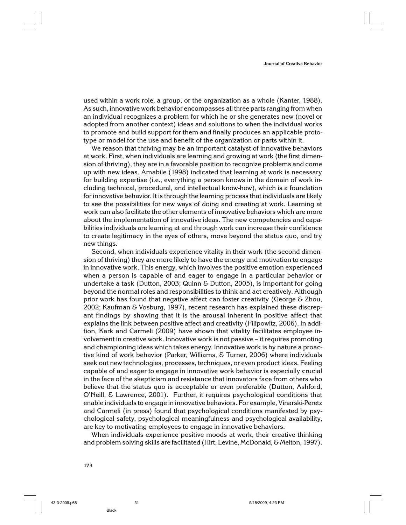used within a work role, a group, or the organization as a whole (Kanter, 1988). As such, innovative work behavior encompasses all three parts ranging from when an individual recognizes a problem for which he or she generates new (novel or adopted from another context) ideas and solutions to when the individual works to promote and build support for them and finally produces an applicable prototype or model for the use and benefit of the organization or parts within it.

We reason that thriving may be an important catalyst of innovative behaviors at work. First, when individuals are learning and growing at work (the first dimension of thriving), they are in a favorable position to recognize problems and come up with new ideas. Amabile (1998) indicated that learning at work is necessary for building expertise (i.e., everything a person knows in the domain of work including technical, procedural, and intellectual know-how), which is a foundation for innovative behavior. It is through the learning process that individuals are likely to see the possibilities for new ways of doing and creating at work. Learning at work can also facilitate the other elements of innovative behaviors which are more about the implementation of innovative ideas. The new competencies and capabilities individuals are learning at and through work can increase their confidence to create legitimacy in the eyes of others, move beyond the status quo, and try new things.

Second, when individuals experience vitality in their work (the second dimension of thriving) they are more likely to have the energy and motivation to engage in innovative work. This energy, which involves the positive emotion experienced when a person is capable of and eager to engage in a particular behavior or undertake a task (Dutton, 2003; Quinn & Dutton, 2005), is important for going beyond the normal roles and responsibilities to think and act creatively. Although prior work has found that negative affect can foster creativity (George & Zhou, 2002; Kaufman & Vosburg, 1997), recent research has explained these discrepant findings by showing that it is the arousal inherent in positive affect that explains the link between positive affect and creativity (Filipowitz, 2006). In addition, Kark and Carmeli (2009) have shown that vitality facilitates employee involvement in creative work. Innovative work is not passive – it requires promoting and championing ideas which takes energy. Innovative work is by nature a proactive kind of work behavior (Parker, Williams, & Turner, 2006) where individuals seek out new technologies, processes, techniques, or even product ideas. Feeling capable of and eager to engage in innovative work behavior is especially crucial in the face of the skepticism and resistance that innovators face from others who believe that the status quo is acceptable or even preferable (Dutton, Ashford, O'Neill, & Lawrence, 2001). Further, it requires psychological conditions that enable individuals to engage in innovative behaviors. For example, Vinarski-Peretz and Carmeli (in press) found that psychological conditions manifested by psychological safety, psychological meaningfulness and psychological availability, are key to motivating employees to engage in innovative behaviors.

When individuals experience positive moods at work, their creative thinking and problem solving skills are facilitated (Hirt, Levine, McDonald, & Melton, 1997).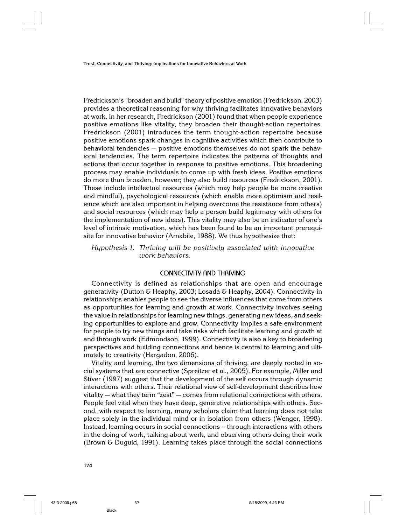Fredrickson's "broaden and build" theory of positive emotion (Fredrickson, 2003) provides a theoretical reasoning for why thriving facilitates innovative behaviors at work. In her research, Fredrickson (2001) found that when people experience positive emotions like vitality, they broaden their thought-action repertoires. Fredrickson (2001) introduces the term thought-action repertoire because positive emotions spark changes in cognitive activities which then contribute to behavioral tendencies — positive emotions themselves do not spark the behavioral tendencies. The term repertoire indicates the patterns of thoughts and actions that occur together in response to positive emotions. This broadening process may enable individuals to come up with fresh ideas. Positive emotions do more than broaden, however; they also build resources (Fredrickson, 2001). These include intellectual resources (which may help people be more creative and mindful), psychological resources (which enable more optimism and resilience which are also important in helping overcome the resistance from others) and social resources (which may help a person build legitimacy with others for the implementation of new ideas). This vitality may also be an indicator of one's level of intrinsic motivation, which has been found to be an important prerequisite for innovative behavior (Amabile, 1988). We thus hypothesize that:

*Hypothesis 1. Thriving will be positively associated with innovative work behaviors.*

## CONNECTIVITY AND THRIVING

Connectivity is defined as relationships that are open and encourage generativity (Dutton & Heaphy, 2003; Losada & Heaphy, 2004). Connectivity in relationships enables people to see the diverse influences that come from others as opportunities for learning and growth at work. Connectivity involves seeing the value in relationships for learning new things, generating new ideas, and seeking opportunities to explore and grow. Connectivity implies a safe environment for people to try new things and take risks which facilitate learning and growth at and through work (Edmondson, 1999). Connectivity is also a key to broadening perspectives and building connections and hence is central to learning and ultimately to creativity (Hargadon, 2006).

Vitality and learning, the two dimensions of thriving, are deeply rooted in social systems that are connective (Spreitzer et al., 2005). For example, Miller and Stiver (1997) suggest that the development of the self occurs through dynamic interactions with others. Their relational view of self-development describes how vitality — what they term "zest" — comes from relational connections with others. People feel vital when they have deep, generative relationships with others. Second, with respect to learning, many scholars claim that learning does not take place solely in the individual mind or in isolation from others (Wenger, 1998). Instead, learning occurs in social connections – through interactions with others in the doing of work, talking about work, and observing others doing their work (Brown & Duguid, 1991). Learning takes place through the social connections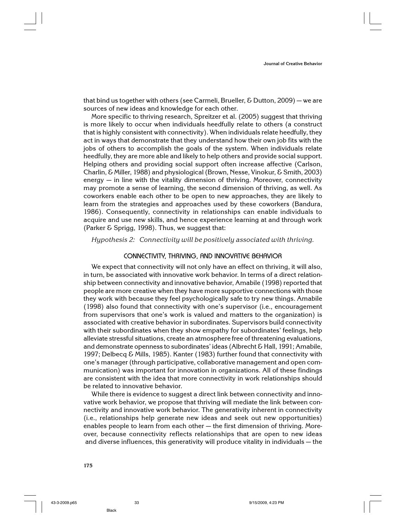that bind us together with others (see Carmeli, Brueller, & Dutton, 2009) — we are sources of new ideas and knowledge for each other.

More specific to thriving research, Spreitzer et al. (2005) suggest that thriving is more likely to occur when individuals heedfully relate to others (a construct that is highly consistent with connectivity). When individuals relate heedfully, they act in ways that demonstrate that they understand how their own job fits with the jobs of others to accomplish the goals of the system. When individuals relate heedfully, they are more able and likely to help others and provide social support. Helping others and providing social support often increase affective (Carlson, Charlin, & Miller, 1988) and physiological (Brown, Nesse, Vinokur, & Smith, 2003) energy — in line with the vitality dimension of thriving. Moreover, connectivity may promote a sense of learning, the second dimension of thriving, as well. As coworkers enable each other to be open to new approaches, they are likely to learn from the strategies and approaches used by these coworkers (Bandura, 1986). Consequently, connectivity in relationships can enable individuals to acquire and use new skills, and hence experience learning at and through work (Parker & Sprigg, 1998). Thus, we suggest that:

*Hypothesis 2: Connectivity will be positively associated with thriving.*

## CONNECTIVITY, THRIVING, AND INNOVATIVE BEHAVIOR

We expect that connectivity will not only have an effect on thriving, it will also, in turn, be associated with innovative work behavior. In terms of a direct relationship between connectivity and innovative behavior, Amabile (1998) reported that people are more creative when they have more supportive connections with those they work with because they feel psychologically safe to try new things. Amabile (1998) also found that connectivity with one's supervisor (i.e., encouragement from supervisors that one's work is valued and matters to the organization) is associated with creative behavior in subordinates. Supervisors build connectivity with their subordinates when they show empathy for subordinates' feelings, help alleviate stressful situations, create an atmosphere free of threatening evaluations, and demonstrate openness to subordinates' ideas (Albrecht & Hall, 1991; Amabile, 1997; Delbecq & Mills, 1985). Kanter (1983) further found that connectivity with one's manager (through participative, collaborative management and open communication) was important for innovation in organizations. All of these findings are consistent with the idea that more connectivity in work relationships should be related to innovative behavior.

While there is evidence to suggest a direct link between connectivity and innovative work behavior, we propose that thriving will mediate the link between connectivity and innovative work behavior. The generativity inherent in connectivity (i.e., relationships help generate new ideas and seek out new opportunities) enables people to learn from each other — the first dimension of thriving. Moreover, because connectivity reflects relationships that are open to new ideas and diverse influences, this generativity will produce vitality in individuals — the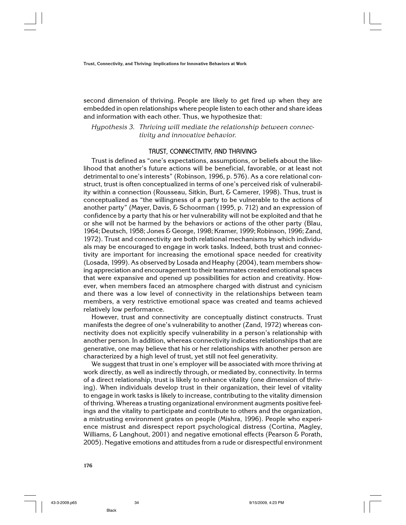second dimension of thriving. People are likely to get fired up when they are embedded in open relationships where people listen to each other and share ideas and information with each other. Thus, we hypothesize that:

*Hypothesis 3. Thriving will mediate the relationship between connectivity and innovative behavior.*

### TRUST, CONNECTIVITY, AND THRIVING

Trust is defined as "one's expectations, assumptions, or beliefs about the likelihood that another's future actions will be beneficial, favorable, or at least not detrimental to one's interests" (Robinson, 1996, p. 576). As a core relational construct, trust is often conceptualized in terms of one's perceived risk of vulnerability within a connection (Rousseau, Sitkin, Burt, & Camerer, 1998). Thus, trust is conceptualized as "the willingness of a party to be vulnerable to the actions of another party" (Mayer, Davis, & Schoorman (1995, p. 712) and an expression of confidence by a party that his or her vulnerability will not be exploited and that he or she will not be harmed by the behaviors or actions of the other party (Blau, 1964; Deutsch, 1958; Jones & George, 1998; Kramer, 1999; Robinson, 1996; Zand, 1972). Trust and connectivity are both relational mechanisms by which individuals may be encouraged to engage in work tasks. Indeed, both trust and connectivity are important for increasing the emotional space needed for creativity (Losada, 1999). As observed by Losada and Heaphy (2004), team members showing appreciation and encouragement to their teammates created emotional spaces that were expansive and opened up possibilities for action and creativity. However, when members faced an atmosphere charged with distrust and cynicism and there was a low level of connectivity in the relationships between team members, a very restrictive emotional space was created and teams achieved relatively low performance.

However, trust and connectivity are conceptually distinct constructs. Trust manifests the degree of one's vulnerability to another (Zand, 1972) whereas connectivity does not explicitly specify vulnerability in a person's relationship with another person. In addition, whereas connectivity indicates relationships that are generative, one may believe that his or her relationships with another person are characterized by a high level of trust, yet still not feel generativity.

We suggest that trust in one's employer will be associated with more thriving at work directly, as well as indirectly through, or mediated by, connectivity. In terms of a direct relationship, trust is likely to enhance vitality (one dimension of thriving). When individuals develop trust in their organization, their level of vitality to engage in work tasks is likely to increase, contributing to the vitality dimension of thriving. Whereas a trusting organizational environment augments positive feelings and the vitality to participate and contribute to others and the organization, a mistrusting environment grates on people (Mishra, 1996). People who experience mistrust and disrespect report psychological distress (Cortina, Magley, Williams, & Langhout, 2001) and negative emotional effects (Pearson & Porath, 2005). Negative emotions and attitudes from a rude or disrespectful environment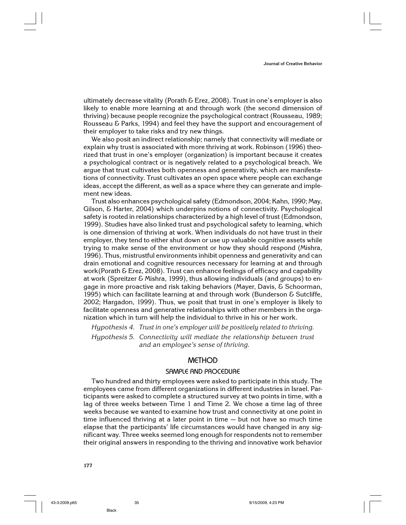ultimately decrease vitality (Porath & Erez, 2008). Trust in one's employer is also likely to enable more learning at and through work (the second dimension of thriving) because people recognize the psychological contract (Rousseau, 1989; Rousseau & Parks, 1994) and feel they have the support and encouragement of their employer to take risks and try new things.

We also posit an indirect relationship; namely that connectivity will mediate or explain why trust is associated with more thriving at work. Robinson (1996) theorized that trust in one's employer (organization) is important because it creates a psychological contract or is negatively related to a psychological breach. We argue that trust cultivates both openness and generativity, which are manifestations of connectivity. Trust cultivates an open space where people can exchange ideas, accept the different, as well as a space where they can generate and implement new ideas.

Trust also enhances psychological safety (Edmondson, 2004; Kahn, 1990; May, Gilson, & Harter, 2004) which underpins notions of connectivity. Psychological safety is rooted in relationships characterized by a high level of trust (Edmondson, 1999). Studies have also linked trust and psychological safety to learning, which is one dimension of thriving at work. When individuals do not have trust in their employer, they tend to either shut down or use up valuable cognitive assets while trying to make sense of the environment or how they should respond (Mishra, 1996). Thus, mistrustful environments inhibit openness and generativity and can drain emotional and cognitive resources necessary for learning at and through work(Porath & Erez, 2008). Trust can enhance feelings of efficacy and capability at work (Spreitzer & Mishra, 1999), thus allowing individuals (and groups) to engage in more proactive and risk taking behaviors (Mayer, Davis, & Schoorman, 1995) which can facilitate learning at and through work (Bunderson & Sutcliffe, 2002; Hargadon, 1999). Thus, we posit that trust in one's employer is likely to facilitate openness and generative relationships with other members in the organization which in turn will help the individual to thrive in his or her work.

*Hypothesis 4. Trust in one's employer will be positively related to thriving. Hypothesis 5. Connectivity will mediate the relationship between trust and an employee's sense of thriving.*

# **METHOD**

## SAMPLE AND PROCEDURE

Two hundred and thirty employees were asked to participate in this study. The employees came from different organizations in different industries in Israel. Participants were asked to complete a structured survey at two points in time, with a lag of three weeks between Time 1 and Time 2. We chose a time lag of three weeks because we wanted to examine how trust and connectivity at one point in time influenced thriving at a later point in time — but not have so much time elapse that the participants' life circumstances would have changed in any significant way. Three weeks seemed long enough for respondents not to remember their original answers in responding to the thriving and innovative work behavior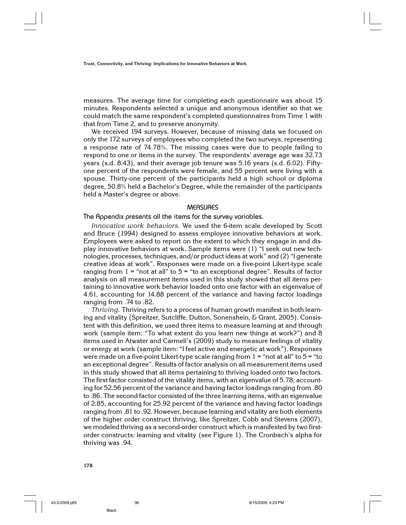measures. The average time for completing each questionnaire was about 15 minutes. Respondents selected a unique and anonymous identifier so that we could match the same respondent's completed questionnaires from Time 1 with that from Time 2, and to preserve anonymity.

We received 194 surveys. However, because of missing data we focused on only the 172 surveys of employees who completed the two surveys, representing a response rate of 74.78%. The missing cases were due to people failing to respond to one or items in the survey. The respondents' average age was 32.73 years (s.d. 8.43), and their average job tenure was 5.16 years (s.d. 6.02). Fiftyone percent of the respondents were female, and 55 percent were living with a spouse. Thirty-one percent of the participants held a high school or diploma degree, 50.8% held a Bachelor's Degree, while the remainder of the participants held a Master's degree or above.

### **MEASURES**

The Appendix presents all the items for the survey variables.

*Innovative work behaviors.* We used the 6-item scale developed by Scott and Bruce (1994) designed to assess employee innovative behaviors at work. Employees were asked to report on the extent to which they engage in and display innovative behaviors at work. Sample items were (1) "I seek out new technologies, processes, techniques, and/or product ideas at work" and (2) "I generate creative ideas at work". Responses were made on a five-point Likert-type scale ranging from  $1 =$  "not at all" to  $5 =$  "to an exceptional degree". Results of factor analysis on all measurement items used in this study showed that all items pertaining to innovative work behavior loaded onto one factor with an eigenvalue of 4.61, accounting for 14.88 percent of the variance and having factor loadings ranging from .74 to .82.

*Thriving.* Thriving refers to a process of human growth manifest in both learning and vitality (Spreitzer, Sutcliffe, Dutton, Sonenshein, & Grant, 2005). Consistent with this definition, we used three items to measure learning at and through work (sample item: "To what extent do you learn new things at work?") and 8 items used in Atwater and Carmeli's (2009) study to measure feelings of vitality or energy at work (sample item: "I feel active and energetic at work"). Responses were made on a five-point Likert-type scale ranging from  $1 =$  "not at all" to  $5 =$  "to an exceptional degree". Results of factor analysis on all measurement items used in this study showed that all items pertaining to thriving loaded onto two factors. The first factor consisted of the vitality items, with an eigenvalue of 5.78, accounting for 52.56 percent of the variance and having factor loadings ranging from .80 to .86. The second factor consisted of the three learning items, with an eigenvalue of 2.85, accounting for 25.92 percent of the variance and having factor loadings ranging from .81 to .92. However, because learning and vitality are both elements of the higher order construct thriving, like Spreitzer, Cobb and Stevens (2007), we modeled thriving as a second-order construct which is manifested by two firstorder constructs: learning and vitality (see Figure 1). The Cronbach's alpha for thriving was .94.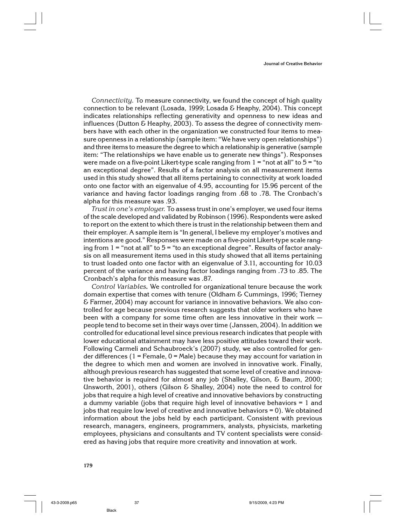*Connectivity.* To measure connectivity, we found the concept of high quality connection to be relevant (Losada, 1999; Losada & Heaphy, 2004). This concept indicates relationships reflecting generativity and openness to new ideas and influences (Dutton & Heaphy, 2003). To assess the degree of connectivity members have with each other in the organization we constructed four items to measure openness in a relationship (sample item: "We have very open relationships") and three items to measure the degree to which a relationship is generative (sample item: "The relationships we have enable us to generate new things"). Responses were made on a five-point Likert-type scale ranging from  $1 =$  "not at all" to  $5 =$  "to an exceptional degree". Results of a factor analysis on all measurement items used in this study showed that all items pertaining to connectivity at work loaded onto one factor with an eigenvalue of 4.95, accounting for 15.96 percent of the variance and having factor loadings ranging from .68 to .78. The Cronbach's alpha for this measure was .93.

*Trust in one's employer.* To assess trust in one's employer, we used four items of the scale developed and validated by Robinson (1996). Respondents were asked to report on the extent to which there is trust in the relationship between them and their employer. A sample item is "In general, I believe my employer's motives and intentions are good." Responses were made on a five-point Likert-type scale ranging from  $1 =$  "not at all" to  $5 =$  "to an exceptional degree". Results of factor analysis on all measurement items used in this study showed that all items pertaining to trust loaded onto one factor with an eigenvalue of 3.11, accounting for 10.03 percent of the variance and having factor loadings ranging from .73 to .85. The Cronbach's alpha for this measure was .87.

*Control Variables.* We controlled for organizational tenure because the work domain expertise that comes with tenure (Oldham & Cummings, 1996; Tierney & Farmer, 2004) may account for variance in innovative behaviors. We also controlled for age because previous research suggests that older workers who have been with a company for some time often are less innovative in their work people tend to become set in their ways over time (Janssen, 2004). In addition we controlled for educational level since previous research indicates that people with lower educational attainment may have less positive attitudes toward their work. Following Carmeli and Schaubroeck's (2007) study, we also controlled for gender differences ( $1$  = Female,  $0$  = Male) because they may account for variation in the degree to which men and women are involved in innovative work. Finally, although previous research has suggested that some level of creative and innovative behavior is required for almost any job (Shalley, Gilson, & Baum, 2000; Unsworth, 2001), others (Gilson & Shalley, 2004) note the need to control for jobs that require a high level of creative and innovative behaviors by constructing a dummy variable (jobs that require high level of innovative behaviors = 1 and jobs that require low level of creative and innovative behaviors = 0). We obtained information about the jobs held by each participant. Consistent with previous research, managers, engineers, programmers, analysts, physicists, marketing employees, physicians and consultants and TV content specialists were considered as having jobs that require more creativity and innovation at work.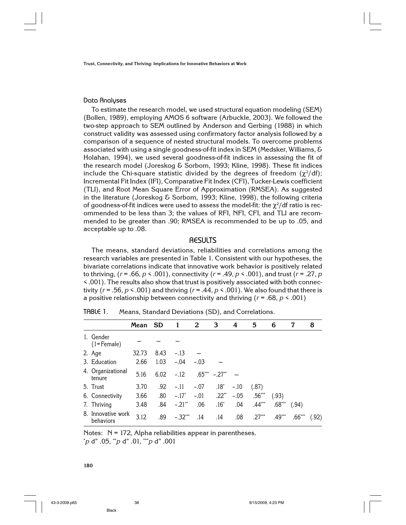### Data Analyses

To estimate the research model, we used structural equation modeling (SEM) (Bollen, 1989), employing AMOS 6 software (Arbuckle, 2003). We followed the two-step approach to SEM outlined by Anderson and Gerbing (1988) in which construct validity was assessed using confirmatory factor analysis followed by a comparison of a sequence of nested structural models. To overcome problems associated with using a single goodness-of-fit index in SEM (Medsker, Williams, & Holahan, 1994), we used several goodness-of-fit indices in assessing the fit of the research model (Joreskog & Sorbom, 1993; Kline, 1998). These fit indices include the Chi-square statistic divided by the degrees of freedom  $(\chi^2/\text{df})$ ; Incremental Fit Index (IFI), Comparative Fit Index (CFI), Tucker-Lewis coefficient (TLI), and Root Mean Square Error of Approximation (RMSEA). As suggested in the literature (Joreskog & Sorbom, 1993; Kline, 1998), the following criteria of goodness-of-fit indices were used to assess the model-fit: the  $\chi^2/d$ f ratio is recommended to be less than 3; the values of RFI, NFI, CFI, and TLI are recommended to be greater than .90; RMSEA is recommended to be up to .05, and acceptable up to .08.

# RESULTS

The means, standard deviations, reliabilities and correlations among the research variables are presented in Table 1. Consistent with our hypotheses, the bivariate correlations indicate that innovative work behavior is positively related to thriving, (*r* = .66, *p* < .001), connectivity (*r* = .49, *p* < .001), and trust (*r* = .27, *p* < .001). The results also show that trust is positively associated with both connectivity (*r* = .56, *p* < .001) and thriving (*r* = .44, *p* < .001). We also found that there is a positive relationship between connectivity and thriving (*r* = .68, *p* < .001)

|                                 | Mean  | -SD  | -1                   | $\mathbf{2}$ | 3               | 4      | 5        | 6        | 7        | 8     |
|---------------------------------|-------|------|----------------------|--------------|-----------------|--------|----------|----------|----------|-------|
| 1. Gender<br>$(1 =$ Female $)$  |       |      |                      |              |                 |        |          |          |          |       |
| 2. Age                          | 32.73 | 8.43 | $-.13$               |              |                 |        |          |          |          |       |
| 3. Education                    | 2.66  | 1.03 | $-.04$               | $-.03$       |                 |        |          |          |          |       |
| 4. Organizational<br>tenure     | 5.16  | 6.02 | $-.12$               |              | $.65***$ -.27** |        |          |          |          |       |
| 5. Trust                        | 3.70  | .92  | $-.11$               | $-.07$       | $.18^*$         | $-.10$ | (.87)    |          |          |       |
| 6. Connectivity                 | 3.66  | .80  | $-.17^*$             | $-.01$       | $.22^{**}$      | $-.05$ | $.56***$ | (.93)    |          |       |
| 7. Thriving                     | 3.48  | .84  | $-.21$ <sup>**</sup> | .06          | $.16*$          | .04    | $.44***$ | $.68***$ | (.94)    |       |
| 8. Innovative work<br>behaviors | 3.12  | .89  | $-.32***$            | .14          | .14             | .08    | $.27***$ | $.49***$ | $.66***$ | (.92) |

TABLE 1. Means, Standard Deviations (SD), and Correlations.

Notes:  $N = 172$ , Alpha reliabilities appear in parentheses. \* *p* d" .05, \*\**p* d" .01, \*\*\**p* d" .001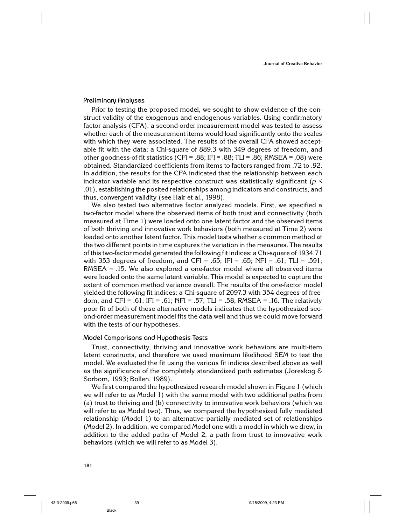### Preliminary Analyses

Prior to testing the proposed model, we sought to show evidence of the construct validity of the exogenous and endogenous variables. Using confirmatory factor analysis (CFA), a second-order measurement model was tested to assess whether each of the measurement items would load significantly onto the scales with which they were associated. The results of the overall CFA showed acceptable fit with the data; a Chi-square of 889.3 with 349 degrees of freedom, and other goodness-of-fit statistics (CFI = .88; IFI = .88; TLI = .86; RMSEA = .08) were obtained. Standardized coefficients from items to factors ranged from .72 to .92. In addition, the results for the CFA indicated that the relationship between each indicator variable and its respective construct was statistically significant ( $p \le$ .01), establishing the posited relationships among indicators and constructs, and thus, convergent validity (see Hair et al., 1998).

We also tested two alternative factor analyzed models. First, we specified a two-factor model where the observed items of both trust and connectivity (both measured at Time 1) were loaded onto one latent factor and the observed items of both thriving and innovative work behaviors (both measured at Time 2) were loaded onto another latent factor. This model tests whether a common method at the two different points in time captures the variation in the measures. The results of this two-factor model generated the following fit indices: a Chi-square of 1934.71 with 353 degrees of freedom, and CFI = .65; IFI = .65; NFI = .61; TLI = .591; RMSEA = .15. We also explored a one-factor model where all observed items were loaded onto the same latent variable. This model is expected to capture the extent of common method variance overall. The results of the one-factor model yielded the following fit indices: a Chi-square of 2097.3 with 354 degrees of freedom, and CFI = .61; IFI = .61; NFI = .57; TLI = .58; RMSEA = .16. The relatively poor fit of both of these alternative models indicates that the hypothesized second-order measurement model fits the data well and thus we could move forward with the tests of our hypotheses.

#### Model Comparisons and Hypothesis Tests

Trust, connectivity, thriving and innovative work behaviors are multi-item latent constructs, and therefore we used maximum likelihood SEM to test the model. We evaluated the fit using the various fit indices described above as well as the significance of the completely standardized path estimates (Joreskog & Sorbom, 1993; Bollen, 1989).

We first compared the hypothesized research model shown in Figure 1 (which we will refer to as Model 1) with the same model with two additional paths from (a) trust to thriving and (b) connectivity to innovative work behaviors (which we will refer to as Model two). Thus, we compared the hypothesized fully mediated relationship (Model 1) to an alternative partially mediated set of relationships (Model 2). In addition, we compared Model one with a model in which we drew, in addition to the added paths of Model 2, a path from trust to innovative work behaviors (which we will refer to as Model 3).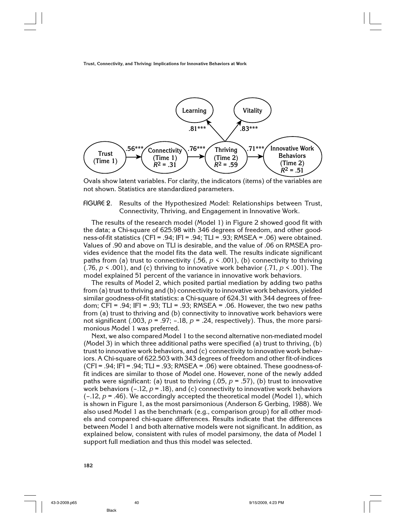

Ovals show latent variables. For clarity, the indicators (items) of the variables are not shown. Statistics are standardized parameters.

# FIGURE 2. Results of the Hypothesized Model: Relationships between Trust, Connectivity, Thriving, and Engagement in Innovative Work.

The results of the research model (Model 1) in Figure 2 showed good fit with the data; a Chi-square of 625.98 with 346 degrees of freedom, and other goodness-of-fit statistics (CFI = .94; IFI = .94; TLI = .93; RMSEA = .06) were obtained. Values of .90 and above on TLI is desirable, and the value of .06 on RMSEA provides evidence that the model fits the data well. The results indicate significant paths from (a) trust to connectivity  $(.56, p \le .001)$ , (b) connectivity to thriving (.76, *p* < .001), and (c) thriving to innovative work behavior (.71, *p* < .001). The model explained 51 percent of the variance in innovative work behaviors.

The results of Model 2, which posited partial mediation by adding two paths from (a) trust to thriving and (b) connectivity to innovative work behaviors, yielded similar goodness-of-fit statistics: a Chi-square of 624.31 with 344 degrees of freedom;  $CFI = .94$ ;  $IFI = .93$ ;  $TLI = .93$ ;  $RMSEA = .06$ . However, the two new paths from (a) trust to thriving and (b) connectivity to innovative work behaviors were not significant (.003,  $p = .97$ ; -.18,  $p = .24$ , respectively). Thus, the more parsimonious Model 1 was preferred.

Next, we also compared Model 1 to the second alternative non-mediated model (Model 3) in which three additional paths were specified (a) trust to thriving, (b) trust to innovative work behaviors, and (c) connectivity to innovative work behaviors. A Chi-square of 622.503 with 343 degrees of freedom and other fit-of-indices  $(CFI = .94; IFI = .94; TLI = .93; RMSEA = .06)$  were obtained. These goodness-offit indices are similar to those of Model one. However, none of the newly added paths were significant: (a) trust to thriving  $(.05, p = .57)$ , (b) trust to innovative work behaviors  $(-.12, p = .18)$ , and (c) connectivity to innovative work behaviors  $(-.12, p = .46)$ . We accordingly accepted the theoretical model (Model 1), which is shown in Figure 1, as the most parsimonious (Anderson & Gerbing, 1988). We also used Model 1 as the benchmark (e.g., comparison group) for all other models and compared chi-square differences. Results indicate that the differences between Model 1 and both alternative models were not significant. In addition, as explained below, consistent with rules of model parsimony, the data of Model 1 support full mediation and thus this model was selected.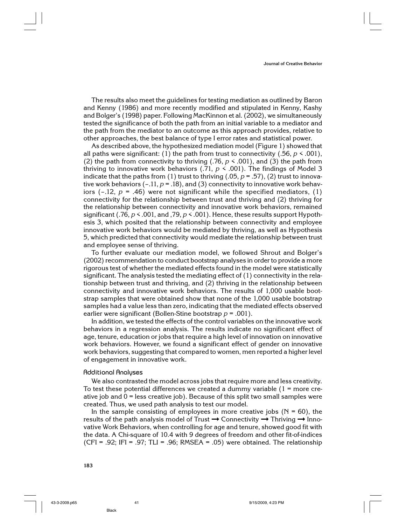The results also meet the guidelines for testing mediation as outlined by Baron and Kenny (1986) and more recently modified and stipulated in Kenny, Kashy and Bolger's (1998) paper. Following MacKinnon et al. (2002), we simultaneously tested the significance of both the path from an initial variable to a mediator and the path from the mediator to an outcome as this approach provides, relative to other approaches, the best balance of type I error rates and statistical power.

As described above, the hypothesized mediation model (Figure 1) showed that all paths were significant: (1) the path from trust to connectivity  $(.56, p \le .001)$ , (2) the path from connectivity to thriving  $(.76, p \le .001)$ , and (3) the path from thriving to innovative work behaviors  $(.71, p \le .001)$ . The findings of Model 3 indicate that the paths from (1) trust to thriving  $(.05, p = .57)$ , (2) trust to innovative work behaviors  $(-.11, p = .18)$ , and (3) connectivity to innovative work behaviors  $(-.12, p = .46)$  were not significant while the specified mediators,  $(1)$ connectivity for the relationship between trust and thriving and (2) thriving for the relationship between connectivity and innovative work behaviors, remained significant (.76, *p* < .001, and ,79, *p* < .001). Hence, these results support Hypothesis 3, which posited that the relationship between connectivity and employee innovative work behaviors would be mediated by thriving, as well as Hypothesis 5, which predicted that connectivity would mediate the relationship between trust and employee sense of thriving.

To further evaluate our mediation model, we followed Shrout and Bolger's (2002) recommendation to conduct bootstrap analyses in order to provide a more rigorous test of whether the mediated effects found in the model were statistically significant. The analysis tested the mediating effect of (1) connectivity in the relationship between trust and thriving, and (2) thriving in the relationship between connectivity and innovative work behaviors. The results of 1,000 usable bootstrap samples that were obtained show that none of the 1,000 usable bootstrap samples had a value less than zero, indicating that the mediated effects observed earlier were significant (Bollen-Stine bootstrap *p* = .001).

In addition, we tested the effects of the control variables on the innovative work behaviors in a regression analysis. The results indicate no significant effect of age, tenure, education or jobs that require a high level of innovation on innovative work behaviors. However, we found a significant effect of gender on innovative work behaviors, suggesting that compared to women, men reported a higher level of engagement in innovative work.

### Additional Analyses

We also contrasted the model across jobs that require more and less creativity. To test these potential differences we created a dummy variable  $(1 = more cre$ ative job and 0 = less creative job). Because of this split two small samples were created. Thus, we used path analysis to test our model.

In the sample consisting of employees in more creative jobs  $(N = 60)$ , the results of the path analysis model of Trust  $\rightarrow$  Connectivity  $\rightarrow$  Thriving  $\rightarrow$  Innovative Work Behaviors, when controlling for age and tenure, showed good fit with the data. A Chi-square of 10.4 with 9 degrees of freedom and other fit-of-indices  $(CFI = .92; IFI = .97; TLI = .96; RMSEA = .05)$  were obtained. The relationship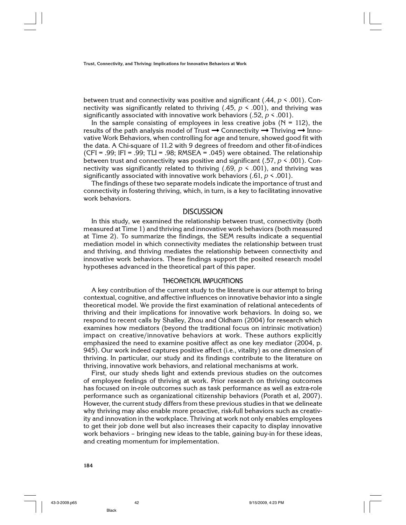between trust and connectivity was positive and significant (.44, *p* < .001). Connectivity was significantly related to thriving (.45, *p* < .001), and thriving was significantly associated with innovative work behaviors (.52, *p* < .001).

In the sample consisting of employees in less creative jobs ( $N = 112$ ), the results of the path analysis model of Trust  $\rightarrow$  Connectivity  $\rightarrow$  Thriving  $\rightarrow$  Innovative Work Behaviors, when controlling for age and tenure, showed good fit with the data. A Chi-square of 11.2 with 9 degrees of freedom and other fit-of-indices  $(CFI = .99; IFI = .99; TLI = .98; RMSEA = .045)$  were obtained. The relationship between trust and connectivity was positive and significant (.57, *p* < .001). Connectivity was significantly related to thriving  $(.69, p \lt .001)$ , and thriving was significantly associated with innovative work behaviors (.61, *p* < .001).

The findings of these two separate models indicate the importance of trust and connectivity in fostering thriving, which, in turn, is a key to facilitating innovative work behaviors.

## **DISCUSSION**

In this study, we examined the relationship between trust, connectivity (both measured at Time 1) and thriving and innovative work behaviors (both measured at Time 2). To summarize the findings, the SEM results indicate a sequential mediation model in which connectivity mediates the relationship between trust and thriving, and thriving mediates the relationship between connectivity and innovative work behaviors. These findings support the posited research model hypotheses advanced in the theoretical part of this paper.

### THEORETICAL IMPLICATIONS

A key contribution of the current study to the literature is our attempt to bring contextual, cognitive, and affective influences on innovative behavior into a single theoretical model. We provide the first examination of relational antecedents of thriving and their implications for innovative work behaviors. In doing so, we respond to recent calls by Shalley, Zhou and Oldham (2004) for research which examines how mediators (beyond the traditional focus on intrinsic motivation) impact on creative/innovative behaviors at work. These authors explicitly emphasized the need to examine positive affect as one key mediator (2004, p. 945). Our work indeed captures positive affect (i.e., vitality) as one dimension of thriving. In particular, our study and its findings contribute to the literature on thriving, innovative work behaviors, and relational mechanisms at work.

First, our study sheds light and extends previous studies on the outcomes of employee feelings of thriving at work. Prior research on thriving outcomes has focused on in-role outcomes such as task performance as well as extra-role performance such as organizational citizenship behaviors (Porath et al, 2007). However, the current study differs from these previous studies in that we delineate why thriving may also enable more proactive, risk-full behaviors such as creativity and innovation in the workplace. Thriving at work not only enables employees to get their job done well but also increases their capacity to display innovative work behaviors – bringing new ideas to the table, gaining buy-in for these ideas, and creating momentum for implementation.

**184**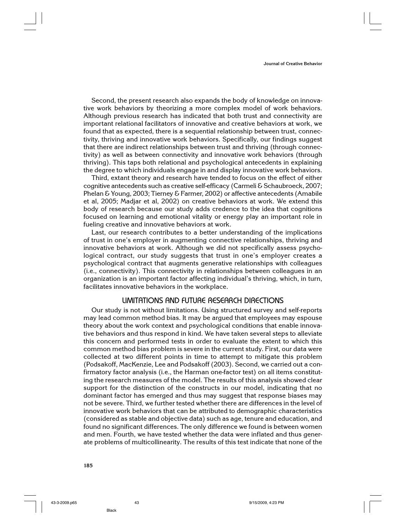Second, the present research also expands the body of knowledge on innovative work behaviors by theorizing a more complex model of work behaviors. Although previous research has indicated that both trust and connectivity are important relational facilitators of innovative and creative behaviors at work, we found that as expected, there is a sequential relationship between trust, connectivity, thriving and innovative work behaviors. Specifically, our findings suggest that there are indirect relationships between trust and thriving (through connectivity) as well as between connectivity and innovative work behaviors (through thriving). This taps both relational and psychological antecedents in explaining the degree to which individuals engage in and display innovative work behaviors.

Third, extant theory and research have tended to focus on the effect of either cognitive antecedents such as creative self-efficacy (Carmeli & Schaubroeck, 2007; Phelan & Young, 2003; Tierney & Farmer, 2002) or affective antecedents (Amabile et al, 2005; Madjar et al, 2002) on creative behaviors at work. We extend this body of research because our study adds credence to the idea that cognitions focused on learning and emotional vitality or energy play an important role in fueling creative and innovative behaviors at work.

Last, our research contributes to a better understanding of the implications of trust in one's employer in augmenting connective relationships, thriving and innovative behaviors at work. Although we did not specifically assess psychological contract, our study suggests that trust in one's employer creates a psychological contract that augments generative relationships with colleagues (i.e., connectivity). This connectivity in relationships between colleagues in an organization is an important factor affecting individual's thriving, which, in turn, facilitates innovative behaviors in the workplace.

# LIMITATIONS AND FUTURE RESEARCH DIRECTIONS

Our study is not without limitations. Using structured survey and self-reports may lead common method bias. It may be argued that employees may espouse theory about the work context and psychological conditions that enable innovative behaviors and thus respond in kind. We have taken several steps to alleviate this concern and performed tests in order to evaluate the extent to which this common method bias problem is severe in the current study. First, our data were collected at two different points in time to attempt to mitigate this problem (Podsakoff, MacKenzie, Lee and Podsakoff (2003). Second, we carried out a confirmatory factor analysis (i.e., the Harman one-factor test) on all items constituting the research measures of the model. The results of this analysis showed clear support for the distinction of the constructs in our model, indicating that no dominant factor has emerged and thus may suggest that response biases may not be severe. Third, we further tested whether there are differences in the level of innovative work behaviors that can be attributed to demographic characteristics (considered as stable and objective data) such as age, tenure and education, and found no significant differences. The only difference we found is between women and men. Fourth, we have tested whether the data were inflated and thus generate problems of multicollinearity. The results of this test indicate that none of the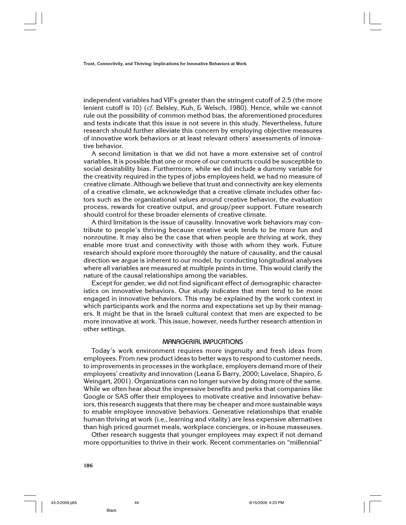independent variables had VIFs greater than the stringent cutoff of 2.5 (the more lenient cutoff is 10) (*cf.* Belsley, Kuh, & Welsch, 1980). Hence, while we cannot rule out the possibility of common method bias, the aforementioned procedures and tests indicate that this issue is not severe in this study. Nevertheless, future research should further alleviate this concern by employing objective measures of innovative work behaviors or at least relevant others' assessments of innovative behavior.

A second limitation is that we did not have a more extensive set of control variables. It is possible that one or more of our constructs could be susceptible to social desirability bias. Furthermore, while we did include a dummy variable for the creativity required in the types of jobs employees held, we had no measure of creative climate. Although we believe that trust and connectivity are key elements of a creative climate, we acknowledge that a creative climate includes other factors such as the organizational values around creative behavior, the evaluation process, rewards for creative output, and group/peer support. Future research should control for these broader elements of creative climate.

A third limitation is the issue of causality. Innovative work behaviors may contribute to people's thriving because creative work tends to be more fun and nonroutine. It may also be the case that when people are thriving at work, they enable more trust and connectivity with those with whom they work. Future research should explore more thoroughly the nature of causality, and the causal direction we argue is inherent to our model, by conducting longitudinal analyses where all variables are measured at multiple points in time. This would clarify the nature of the causal relationships among the variables.

Except for gender, we did not find significant effect of demographic characteristics on innovative behaviors. Our study indicates that men tend to be more engaged in innovative behaviors. This may be explained by the work context in which participants work and the norms and expectations set up by their managers. It might be that in the Israeli cultural context that men are expected to be more innovative at work. This issue, however, needs further research attention in other settings.

### MANAGERIAL IMPLICATIONS

Today's work environment requires more ingenuity and fresh ideas from employees. From new product ideas to better ways to respond to customer needs, to improvements in processes in the workplace, employers demand more of their employees' creativity and innovation (Leana & Barry, 2000; Lovelace, Shapiro, & Weingart, 2001). Organizations can no longer survive by doing more of the same. While we often hear about the impressive benefits and perks that companies like Google or SAS offer their employees to motivate creative and innovative behaviors, this research suggests that there may be cheaper and more sustainable ways to enable employee innovative behaviors. Generative relationships that enable human thriving at work (i.e., learning and vitality) are less expensive alternatives than high priced gourmet meals, workplace concierges, or in-house masseuses.

Other research suggests that younger employees may expect if not demand more opportunities to thrive in their work. Recent commentaries on "millennial"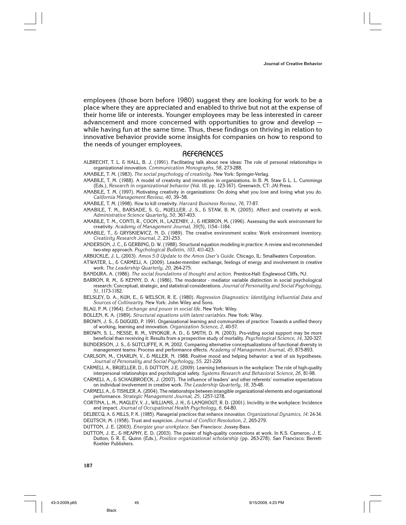employees (those born before 1980) suggest they are looking for work to be a place where they are appreciated and enabled to thrive but not at the expense of their home life or interests. Younger employees may be less interested in career advancement and more concerned with opportunities to grow and develop while having fun at the same time. Thus, these findings on thriving in relation to innovative behavior provide some insights for companies on how to respond to the needs of younger employees.

### **REFERENCES**

- ALBRECHT, T. L. & HALL, B. J. (1991). Facilitating talk about new ideas: The role of personal relationships in organizational innovation. *Communication Monographs*, *58*, 273-288.
- AMABILE, T. M. (1983). *The social psychology of creativity*. New York: Springer-Verlag.
- AMABILE, T. M. (1988). A model of creativity and innovation in organizations. In B. M. Staw & L. L. Cummings (Eds.), *Research in organizational behavior* (Vol. 10, pp. 123-167). Greenwich, CT: JAI Press.
- AMABILE, T. M. (1997). Motivating creativity in organizations: On doing what you love and loving what you do. *California Management Review, 40*, 39–58.
- AMABILE, T. M. (1998). How to kill creativity. *Harvard Business Review*, *76*, 77-87.
- AMABILE, T. M., BARSADE, S. G., MUELLER, J. S., & STAW, B. M. (2005). Affect and creativity at work. *Administrative Science Quarterly, 50*, 367-403.

AMABILE, T. M., CONTI, R., COON, H., LAZENBY, J., & HERRON, M. (1996). Assessing the work environment for creativity. *Academy of Management Journal, 39*(5), 1154–1184.

AMABILE, T., & GRYSKIEWICZ, N. D. (1989). The creative environment scales: Work environment inventory. *Creativity Research Journal, 2*, 231-253.

- ANDERSON, J. C., & GERBING, D. W. (1988). Structural equation modeling in practice: A review and recommended two-step approach. *Psychological Bulletin, 103*, 411-423.
- ARBUCKLE, J. L. (2003). *Amos 5.0 Update to the Amos User's Guide*. Chicago, IL: Smallwaters Corporation.
- ATWATER, L., & CARMELI, A. (2009). Leader-member exchange, feelings of energy and involvement in creative work. *The Leadership Quarterly, 20,* 264-275.

BANDURA, A. (1986). *The social foundations of thought and action*. Prentice-Hall: Englewood Cliffs, NJ.

- BARRON, R. M., & KENNY, D. A. (1986). The moderator mediator variable distinction in social psychological research: Conceptual, strategic, and statistical considerations. *Journal of Personality and Social Psychology, 51*, 1173-1182.
- BELSLEY, D. A., KUH, E., & WELSCH, R. E. (1980). *Regression Diagnostics: Identifying Influential Data and Sources of Collinearit*y. New York: John Wiley and Sons.

BLAU, P. M. (1964). *Exchange and power in social life*. New York: Wiley.

BOLLEN, K. A. (1989). *Structural equations with latent variables*. New York: Wiley.

BROWN, J. S., & DUGUID, P. 1991. Organizational learning and communities of practice: Towards a unified theory of working, learning and innovation. *Organization Science, 2*, 40-57.

BROWN, S. L., NESSE, R. M., VINOKUR, A. D., & SMITH, D. M. (2003). Pro-viding social support may be more beneficial than receiving it: Results from a prospective study of mortality. *Psychological Science, 14*, 320-327.

BUNDERSON, J. S., & SUTCLIFFE, K. M. 2002. Comparing alternative conceptualizations of functional diversity in management teams: Process and performance effects. *Academy of Management Journal, 45*, 875-893.

CARLSON, M., CHARLIN, V., & MILLER, N. 1988. Positive mood and helping behavior: a test of six hypotheses. *Journal of Personality and Social Psychology*, *55,* 221-229.

CARMELI, A., BRUELLER, D., & DUTTON, J.E. (2009). Learning behaviours in the workplace: The role of high-quality interpersonal relationships and psychological safety. *Systems Research and Behavioral Science*, *26*, 81-98.

CARMELI, A., & SCHAUBROECK, J. (2007). The influence of leaders' and other referents' normative expectations on individual involvement in creative work. *The Leadership Quarterly, 18*, 35-48.

CARMELI, A., & TISHLER, A. (2004). The relationships between intangible organizational elements and organizational performance. *Strategic Management Journal, 25*, 1257-1278.

CORTINA, L. M., MAGLEY, V. J., WILLIAMS, J. H., & LANGHOUT, R. D. (2001). Incivility in the workplace: Incidence and impact. *Journal of Occupational Health Psychology, 6*, 64-80.

DELBECQ, A. & MILLS, P. K. (1985). Managerial practices that enhance innovation. *Organizational Dynamics, 14*: 24-34. DEUTSCH, M. (1958). Trust and suspicion. *Journal of Conflict Resolution, 2*, 265-279.

DUTTON, J. E. (2003). *Energize your workplace*. San Francisco: Jossey-Bass.

DUTTON, J. E., & HEAPHY, E. D. (2003). The power of high-quality connections at work. In K.S. Cameron, J. E. Dutton, & R. E. Quinn (Eds.), *Positive organizational scholarship* (pp. 263-278). San Francisco: Berrett-Koehler Publishers.

**187**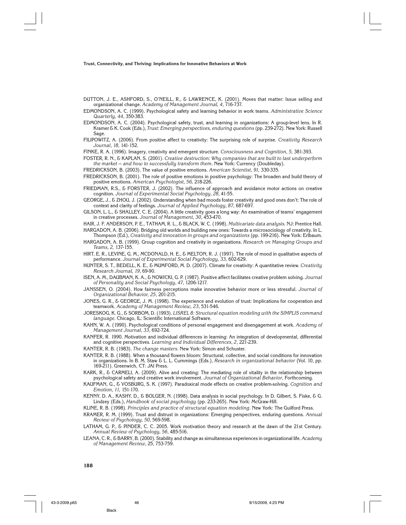DUTTON, J. E., ASHFORD, S., O'NEILL, R., & LAWRENCE, K. (2001). Moves that matter: Issue selling and organizational change. *Academy of Management Journal, 4*, 716-737.

EDMONDSON, A. C. (1999). Psychological safety and learning behavior in work teams. *Administrative Science Quarterly, 44*, 350-383.

- EDMONDSON, A. C. (2004). Psychological safety, trust, and learning in organizations: A group-level lens. In R. Kramer & K. Cook (Eds.), *Trust: Emerging perspectives, enduring questions* (pp. 239-272)*.* New York: Russell Sage.
- FILIPOWITZ, A. (2006). From positive affect to creativity: The surprising role of surprise. *Creativity Research Journal*, *18*, 141-152.

FINKE, R. A. (1996). Imagery, creativity and emergent structure. *Consciousness and Cognition*, *5,* 381-393.

FOSTER, R. N., & KAPLAN, S. (2001). *Creative destruction: Why companies that are built to last underperform the market — and how to successfully transform them*. New York: Currency (Doubleday).

FREDRICKSON, B. (2003). The value of positive emotions. *American Scientist*, *91,* 330-335.

FREDRICKSON, B. (2001). The role of positive emotions in positive psychology: The broaden and build theory of positive emotions. *American Psychologist*, *56,* 218-226.

FRIEDMAN, R.S., & FORSTER, J. (2002). The influence of approach and avoidance motor actions on creative cognition*. Journal of Experimental Social Psychology*, *28*, 41-55.

GEORGE, J., & ZHOU, J. (2002). Understanding when bad moods foster creativity and good ones don't: The role of context and clarity of feelings. *Journal of Applied Psychology*, *87,* 687-697.

GILSON, L. L., & SHALLEY, C. E. (2004). A little creativity goes a long way: An examination of teams' engagement in creative processes. *Journal of Management, 30*, 453-470.

HAIR, J. F. ANDERSON, P. E., TATHAM, R. L., & BLACK, W. C. (1998). *Multivariate data analysis.* NJ: Prentice Hall. HARGADON, A. B. (2006). Bridging old worlds and building new ones: Towards a microsociology of creativity. In L.

Thompson (Ed.), *Creativity and innovation in groups and organizations* (pp. 199-216). New York: Erlbaum. HARGADON, A. B. (1999). Group cognition and creativity in organizations. *Research on Managing Groups and Teams*, *2,* 137-155.

HIRT, E. R., LEVINE, G. M., MCDONALD, H. E., & MELTON, R. J. (1997). The role of mood in qualitative aspects of performance. *Journal of Experimental Social Psychology*, *33,* 602-629.

HUNTER, S. T., BEDELL, K. E., & MUMFORD, M. D. (2007). Climate for creativity: A quantitative review. *Creativity Research Journal, 19*, 69-90.

ISEN, A. M., DAUBMAN, K. A., & NOWICKI, G. P. (1987). Positive affect facilitates creative problem solving. *Journal of Personality and Social Psychology*, *47,* 1206-1217.

JANSSEN, O. (2004). How fairness perceptions make innovative behavior more or less stressful. *Journal of Organizational Behavior, 25*, 201-215.

JONES, G. R., & GEORGE, J. M. (1998). The experience and evolution of trust: Implications for cooperation and teamwork. *Academy of Management Review, 23*, 531-546.

JORESKOG, K. G., & SORBOM, D. (1993). *LISREL 8: Structural equation modeling with the SIMPLIS command language*. Chicago, IL: Scientific International Software.

KAHN, W. A. (1990). Psychological conditions of personal engagement and disengagement at work. *Academy of Management Journal, 33*, 692-724.

KANFER, R. 1990. Motivation and individual differences in learning: An integration of developmental, differential and cognitive perspectives. *Learning and Individual Differences*, *2*, 221-239.

KANTER, R. B. (1983). *The change masters*. New York: Simon and Schuster.

KANTER, R. B. (1988). When a thousand flowers bloom: Structural, collective, and social conditions for innovation in organizations. In B. M. Staw & L. L. Cummings (Eds.), *Research in organizational behavior* (Vol. 10, pp. 169-211). Greenwich, CT: JAI Press.

KARK, R., & CARMELI, A. (2009). Alive and creating: The mediating role of vitality in the relationship between psychological safety and creative work involvement. *Journal of Organizational Behavior*, Forthcoming.

KAUFMAN, G., & VOSBURG, S. K. (1997). Paradoxical mode effects on creative problem-solving. *Cognition and Emotion*, *11,* 151-170.

KENNY, D. A., KASHY, D., & BOLGER, N. (1998). Data analysis in social psychology. In D. Gilbert, S. Fiske, & G. Lindzey (Eds.), *Handbook of social psychology* (pp. 233-265). New York: McGraw-Hill.

KLINE, R. B. (1998). *Principles and practice of structural equation modeling*. New York: The Guilford Press.

KRAMER, R. M. (1999). Trust and distrust in organizations: Emerging perspectives, enduring questions. *Annual Review of Psychology, 50*, 569-598.

LATHAM, G. P., & PINDER, C. C. 2005. Work motivation theory and research at the dawn of the 21st Century. *Annual Review of Psychology, 56*, 485-516.

LEANA, C. R., & BARRY, B. (2000). Stability and change as simultaneous experiences in organizational life. *Academy of Management Review*, 25, 753-759.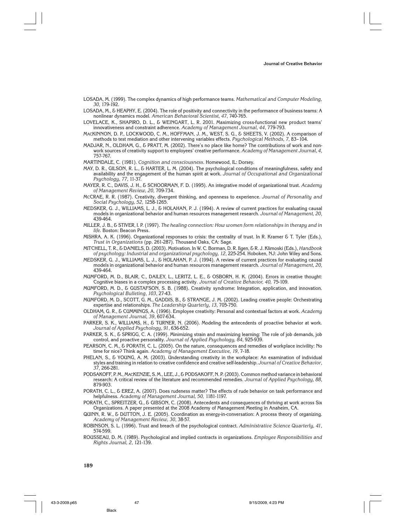LOSADA, M. (1999). The complex dynamics of high performance teams. *Mathematical and Computer Modeling, 30*, 179-192.

- LOSADA, M., & HEAPHY, E. (2004). The role of positivity and connectivity in the performance of business teams: A nonlinear dynamics model. *American Behavioral Scientist, 47*, 740-765.
- LOVELACE, K., SHAPIRO, D. L., & WEINGART, L. R. 2001. Maximizing cross-functional new product teams' innovativeness and constraint adherence. *Academy of Management Journal*, *44*, 779-793.
- MACKINNON, D. P., LOCKWOOD, C. M., HOFFMAN, J. M., WEST, S. G., & SHEETS, V. (2002). A comparison of methods to test mediation and other intervening variables effects. *Psychological Methods*, *7*, 83–104.
- MADJAR, N., OLDHAM, G., & PRATT, M. (2002). There's no place like home? The contributions of work and nonwork sources of creativity support to employees' creative performance. *Academy of Management Journal*, *4*, 757-767.

MARTINDALE, C. (1981). *Cognition and consciousness*. Homewood, IL: Dorsey.

- MAY, D. R., GILSON, R. L., & HARTER, L. M. (2004). The psychological conditions of meaningfulness, safety and availability and the engagement of the human spirit at work. *Journal of Occupational and Organizational Psychology, 77*, 11-37.
- MAYER, R. C., DAVIS, J. H., & SCHOORMAN, F. D. (1995). An integrative model of organizational trust. *Academy of Management Review, 20*, 709-734.
- MCCRAE, R. R. (1987). Creativity, divergent thinking, and openness to experience. *Journal of Personality and Social Psychology, 52*, 1258-1265.
- MEDSKER, G. J., WILLIAMS, L. J., & HOLAHAN, P. J. (1994). A review of current practices for evaluating causal models in organizational behavior and human resources management research*. Journal of Management, 20*, 439-464.
- MILLER, J. B., & STIVER, I. P. (1997). *The healing connection: How women form relationships in therapy and in life.* Boston: Beacon Press.
- MISHRA, A. K. (1996). Organizational responses to crisis: the centrality of trust. In R. Kramer & T. Tyler (Eds.), *Trust in Organizations* (pp. 261-287). Thousand Oaks, CA: Sage.
- MITCHELL, T. R., & DANIELS, D. (2003). Motivation. In W. C. Borman, D. R. Ilgen, & R. J. Klimoski (Eds.), *Handbook of psychology: Industrial and organizational psychology, 12*, 225-254. Hoboken, NJ: John Wiley and Sons.
- MEDSKER, G. J., WILLIAMS, L. J., & HOLAHAN, P. J. (1994). A review of current practices for evaluating causal models in organizational behavior and human resources management research. *Journal of Management, 20*, 439-464.
- MUMFORD, M. D., BLAIR, C., DAILEY, L., LERITZ, L. E., & OSBORN, H. K. (2004). Errors in creative thought: Cognitive biases in a complex processing activity*. Journal of Creative Behavior, 40,* 75-109.
- MUMFORD, M. D., & GUSTAFSON, S. B. (1988). Creativity syndrome: Integration, application, and innovation. *Psychological Bulleting*, *103*, 27-43.
- MUMFORD, M. D., SCOTT, G. M., GADDIS, B., & STRANGE, J. M. (2002). Leading creative people: Orchestrating expertise and relationships. *The Leadership Quarterly*, *13*, 705-750.
- OLDHAM, G. R., & CUMMINGS, A. (1996). Employee creativity: Personal and contextual factors at work. *Academy of Management Journal, 39*, 607-634.
- PARKER, S. K., WILLIAMS, H., & TURNER, N. (2006). Modeling the antecedents of proactive behavior at work. *Journal of Applied Psychology*, *91*, 636-652.
- PARKER, S. K., & SPRIGG, C. A. (1999). Minimizing strain and maximizing learning: The role of job demands, job control, and proactive personality. *Journal of Applied Psychology, 84*, 925-939.
- PEARSON, C. M., & PORATH, C. L. (2005). On the nature, consequences and remedies of workplace incivility: No time for nice? Think again. *Academy of Management Executive, 19*, 7-18.
- PHELAN, S., & YOUNG, A. M. (2003). Understanding creativity in the workplace: An examination of individual styles and training in relation to creative confidence and creative self-leadership. *Journal of Creative Behavior*, *37*, 266-281.
- PODSAKOFF, P. M., MACKENZIE, S. M., LEE, J., & PODSAKOFF, N. P. (2003). Common method variance in behavioral research: A critical review of the literature and recommended remedies. *Journal of Applied Psychology*, *88*, 879-903.
- PORATH, C. L., & EREZ, A. (2007). Does rudeness matter? The effects of rude behavior on task performance and helpfulness. *Academy of Management Journal, 50,* 1181-1197.
- PORATH, C., SPREITZER, G., & GIBSON, C. (2008). Antecedents and consequences of thriving at work across Six Organizations. A paper presented at the 2008 Academy of Management Meeting in Anaheim, CA.
- QUINN, R. W., & DUTTON, J. E. (2005). Coordination as energy-in-conversation: A process theory of organizing. *Academy of Management Review, 30*, 38-57.
- ROBINSON, S. L. (1996). Trust and breach of the psychological contract. *Administrative Science Quarterly, 41*, 574-599.
- ROUSSEAU, D. M. (1989). Psychological and implied contracts in organizations. *Employee Responsibilities and Rights Journal, 2*, 121-139.

**189**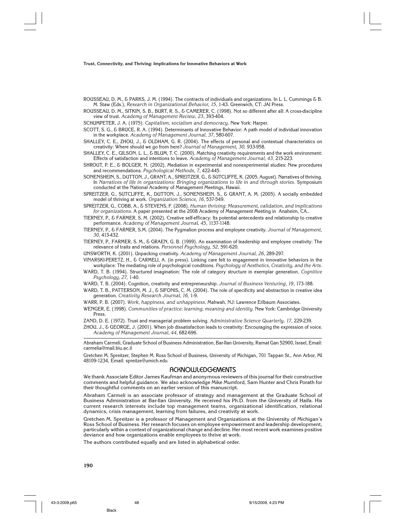- ROUSSEAU, D. M., & PARKS, J. M. (1994). The contracts of individuals and organizations. In L. L. Cummings & B. M. Staw (Eds.), *Research in Organizational Behavior, 15*, 1-43. Greenwich, CT: JAI Press.
- ROUSSEAU, D. M., SITKIN, S. B., BURT, R. S., & CAMERER, C. (1998). Not so different after all: A cross-discipline view of trust. *Academy of Management Review, 23*, 393-404.
- SCHUMPETER, J. A. (1975). *Capitalism, socialism and democracy*. New York: Harper.
- SCOTT, S. G., & BRUCE, R. A. (1994). Determinants of Innovative Behavior: A path model of individual innovation in the workplace. *Academy of Management Journal*, *37*, 580-607.
- SHALLEY, C. E., ZHOU, J., & OLDHAM, G. R. (2004). The effects of personal and contextual characteristics on creativity: Where should we go from here? *Journal of Management, 30,* 933-958.
- SHALLEY, C. E., GILSON, L. L., & BLUM, T. C. (2000). Matching creativity requirements and the work environment: Effects of satisfaction and intentions to leave*. Academy of Management Journal, 43*, 215-223.
- SHROUT, P. E., & BOLGER, N. (2002). Mediation in experimental and nonexperimental studies: New procedures and recommendations. *Psychological Methods, 7*, 422-445.
- SONENSHEIN, S., DUTTON, J., GRANT, A., SPREITZER, G., & SUTCLIFFE, K. (2005, August). Narratives of thriving. In *Narratives of life in organizations: Bringing organizations to life in and through stories*. Symposium conducted at the National Academy of Management Meetings, Hawaii.
- SPREITZER, G., SUTCLIFFE, K., DUTTON, J., SONENSHEIN, S., & GRANT, A. M. (2005). A socially embedded model of thriving at work. *Organization Science, 16*, 537-549.
- SPREITZER, G., COBB, A., & STEVENS, F. (2008). *Human thriving: Measurement, validation, and implications for organizations*. A paper presented at the 2008 Academy of Management Meeting in Anaheim, CA..
- TIERNEY, P., & FARMER, S. M. (2002). Creative self-efficacy: Its potential antecedents and relationship to creative performance. *Academy of Management Journal, 45*, 1137-1148.
- TIERNEY, P., & FARMER, S.M. (2004). The Pygmalion process and employee creativity. *Journal of Management, 30*, 413-432.
- TIERNEY, P., FARMER, S. M., & GRAEN, G. B. (1999). An examination of leadership and employee creativity: The relevance of traits and relations. *Personnel Psychology*, *52*, 591-620.
- UNSWORTH, K. (2001). Unpacking creativity. *Academy of Management Journal, 26*, 289-297.

VINARSKI-PERETZ, H., & CARMELI, A. (in press). Linking care felt to engagement in innovative behaviors in the workplace: The mediating role of psychological conditions. *Psychology of Aesthetics, Creativity, and the Arts*.

- WARD, T. B. (1994). Structured imagination: The role of category structure in exemplar generation. *Cognitive Psychology*, *27,* 1-40.
- WARD, T. B. (2004). Cognition, creativity and entrepreneurship. *Journal of Business Venturing*, *19*, 173-188.
- WARD, T. B., PATTERSON, M. J., & SIFONIS, C. M. (2004). The role of specificity and abstraction in creative idea generation. *Creativity Research Journal*, *16,* 1-9.
- WARR, P. B. (2007). *Work, happiness, and unhappiness*. Mahwah, NJ: Lawrence Erlbaum Associates.
- WENGER, E. (1998). *Communities of practice: learning, meaning and identity.* New York: Cambridge University Press.
- ZAND, D. E. (1972). Trust and managerial problem solving. *Administrative Science Quarterly, 17*, 229-239.
- ZHOU, J., & GEORGE, J. (2001). When job dissatisfaction leads to creativity: Encouraging the expression of voice. *Academy of Management Journal*, *44*, 682-696.

Abraham Carmeli, Graduate School of Business Administration, Bar-Ilan University, Ramat Gan 52900, Israel, Email: carmelia@mail.biu.ac.il

Gretchen M. Spreitzer, Stephen M. Ross School of Business, University of Michigan, 701 Tappan St., Ann Arbor, MI 48109-1234, Email: spreitze@umich.edu

#### **ACKNOWLEDGEMENTS**

We thank Associate Editor James Kaufman and anonymous reviewers of this journal for their constructive comments and helpful guidance. We also acknowledge Mike Mumford, Sam Hunter and Chris Porath for their thoughtful comments on an earlier version of this manuscript.

Abraham Carmeli is an associate professor of strategy and management at the Graduate School of Business Administration at Bar-Ilan University. He received his Ph.D. from the University of Haifa. His current research interests include top management teams, organizational identification, relational dynamics, crisis management, learning from failures, and creativity at work.

Gretchen M. Spreitzer is a professor of Management and Organizations at the University of Michigan's Ross School of Business. Her research focuses on employee empowerment and leadership development, particularly within a context of organizational change and decline. Her most recent work examines positive deviance and how organizations enable employees to thrive at work.

The authors contributed equally and are listed in alphabetical order.

**190**